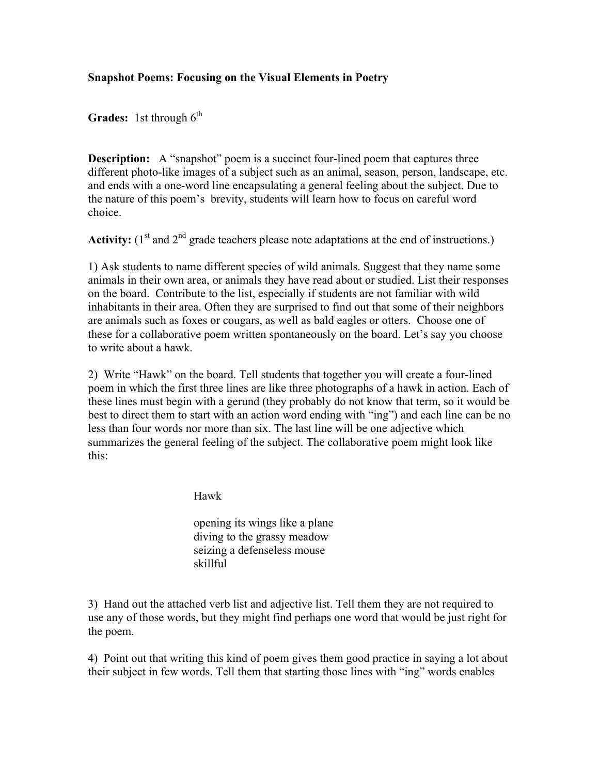## **Snapshot Poems: Focusing on the Visual Elements in Poetry**

**Grades:** 1st through  $6^{th}$ 

**Description:** A "snapshot" poem is a succinct four-lined poem that captures three different photo-like images of a subject such as an animal, season, person, landscape, etc. and ends with a one-word line encapsulating a general feeling about the subject. Due to the nature of this poem's brevity, students will learn how to focus on careful word choice.

Activity:  $(1<sup>st</sup>$  and  $2<sup>nd</sup>$  grade teachers please note adaptations at the end of instructions.)

1) Ask students to name different species of wild animals. Suggest that they name some animals in their own area, or animals they have read about or studied. List their responses on the board. Contribute to the list, especially if students are not familiar with wild inhabitants in their area. Often they are surprised to find out that some of their neighbors are animals such as foxes or cougars, as well as bald eagles or otters. Choose one of these for a collaborative poem written spontaneously on the board. Let's say you choose to write about a hawk.

2) Write "Hawk" on the board. Tell students that together you will create a four-lined poem in which the first three lines are like three photographs of a hawk in action. Each of these lines must begin with a gerund (they probably do not know that term, so it would be best to direct them to start with an action word ending with "ing") and each line can be no less than four words nor more than six. The last line will be one adjective which summarizes the general feeling of the subject. The collaborative poem might look like this:

Hawk

opening its wings like a plane diving to the grassy meadow seizing a defenseless mouse skillful

3) Hand out the attached verb list and adjective list. Tell them they are not required to use any of those words, but they might find perhaps one word that would be just right for the poem.

4) Point out that writing this kind of poem gives them good practice in saying a lot about their subject in few words. Tell them that starting those lines with "ing" words enables